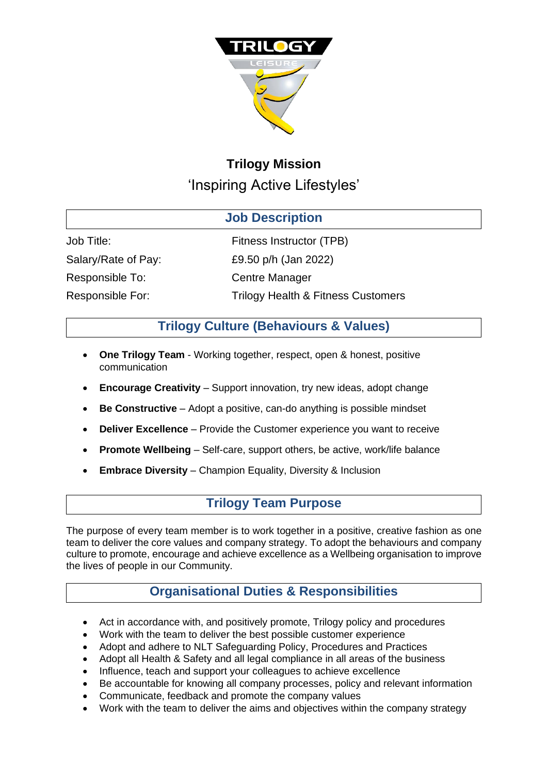

# **Trilogy Mission** 'Inspiring Active Lifestyles'

| <b>Job Description</b> |                                               |
|------------------------|-----------------------------------------------|
| Job Title:             | Fitness Instructor (TPB)                      |
| Salary/Rate of Pay:    | £9.50 p/h (Jan 2022)                          |
| Responsible To:        | <b>Centre Manager</b>                         |
| Responsible For:       | <b>Trilogy Health &amp; Fitness Customers</b> |

# **Trilogy Culture (Behaviours & Values)**

- **One Trilogy Team**  Working together, respect, open & honest, positive communication
- **Encourage Creativity** Support innovation, try new ideas, adopt change
- **Be Constructive**  Adopt a positive, can-do anything is possible mindset
- **Deliver Excellence** Provide the Customer experience you want to receive
- **Promote Wellbeing**  Self-care, support others, be active, work/life balance
- **Embrace Diversity**  Champion Equality, Diversity & Inclusion

## **Trilogy Team Purpose**

The purpose of every team member is to work together in a positive, creative fashion as one team to deliver the core values and company strategy. To adopt the behaviours and company culture to promote, encourage and achieve excellence as a Wellbeing organisation to improve the lives of people in our Community.

# **Organisational Duties & Responsibilities**

- Act in accordance with, and positively promote, Trilogy policy and procedures
- Work with the team to deliver the best possible customer experience
- Adopt and adhere to NLT Safeguarding Policy, Procedures and Practices
- Adopt all Health & Safety and all legal compliance in all areas of the business
- Influence, teach and support your colleagues to achieve excellence
- Be accountable for knowing all company processes, policy and relevant information
- Communicate, feedback and promote the company values
- Work with the team to deliver the aims and objectives within the company strategy